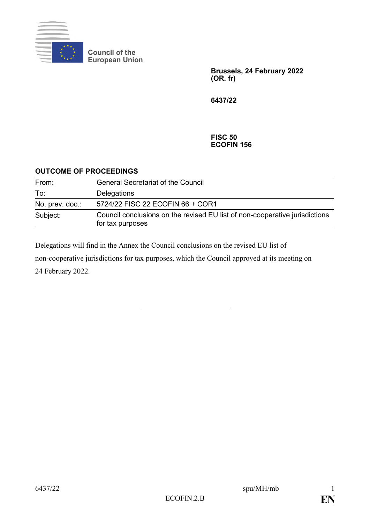

**Council of the European Union**

> **Brussels, 24 February 2022 (OR. fr)**

**6437/22**

#### **FISC 50 ECOFIN 156**

## **OUTCOME OF PROCEEDINGS**

| From:           | <b>General Secretariat of the Council</b>                                                       |
|-----------------|-------------------------------------------------------------------------------------------------|
| To:             | Delegations                                                                                     |
| No. prev. doc.: | 5724/22 FISC 22 ECOFIN 66 + COR1                                                                |
| Subject:        | Council conclusions on the revised EU list of non-cooperative jurisdictions<br>for tax purposes |

Delegations will find in the Annex the Council conclusions on the revised EU list of non-cooperative jurisdictions for tax purposes, which the Council approved at its meeting on 24 February 2022.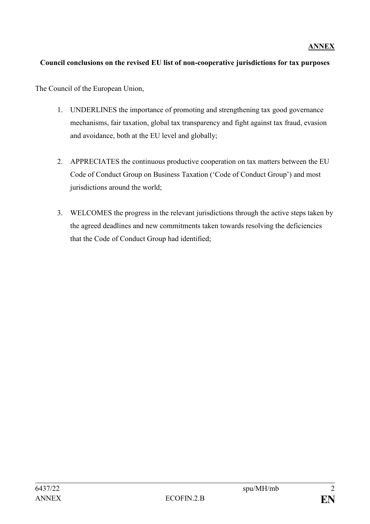# **ANNEX**

# **Council conclusions on the revised EU list of non-cooperative jurisdictions for tax purposes**

The Council of the European Union,

- 1. UNDERLINES the importance of promoting and strengthening tax good governance mechanisms, fair taxation, global tax transparency and fight against tax fraud, evasion and avoidance, both at the EU level and globally;
- 2. APPRECIATES the continuous productive cooperation on tax matters between the EU Code of Conduct Group on Business Taxation ('Code of Conduct Group') and most jurisdictions around the world;
- 3. WELCOMES the progress in the relevant jurisdictions through the active steps taken by the agreed deadlines and new commitments taken towards resolving the deficiencies that the Code of Conduct Group had identified;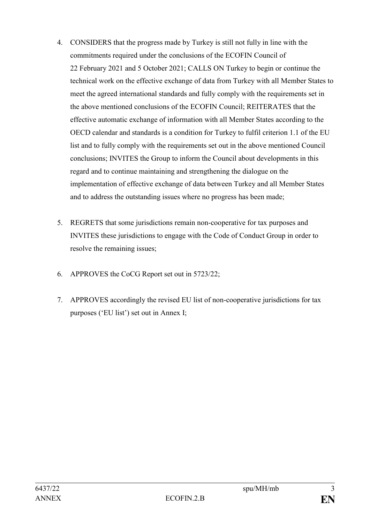- 4. CONSIDERS that the progress made by Turkey is still not fully in line with the commitments required under the conclusions of the ECOFIN Council of 22 February 2021 and 5 October 2021; CALLS ON Turkey to begin or continue the technical work on the effective exchange of data from Turkey with all Member States to meet the agreed international standards and fully comply with the requirements set in the above mentioned conclusions of the ECOFIN Council; REITERATES that the effective automatic exchange of information with all Member States according to the OECD calendar and standards is a condition for Turkey to fulfil criterion 1.1 of the EU list and to fully comply with the requirements set out in the above mentioned Council conclusions; INVITES the Group to inform the Council about developments in this regard and to continue maintaining and strengthening the dialogue on the implementation of effective exchange of data between Turkey and all Member States and to address the outstanding issues where no progress has been made;
- 5. REGRETS that some jurisdictions remain non-cooperative for tax purposes and INVITES these jurisdictions to engage with the Code of Conduct Group in order to resolve the remaining issues;
- 6. APPROVES the CoCG Report set out in 5723/22;
- 7. APPROVES accordingly the revised EU list of non-cooperative jurisdictions for tax purposes ('EU list') set out in Annex I;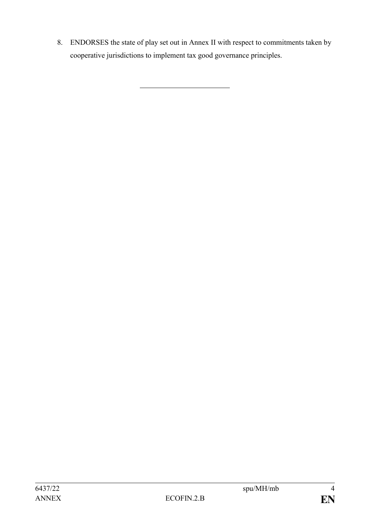8. ENDORSES the state of play set out in Annex II with respect to commitments taken by cooperative jurisdictions to implement tax good governance principles.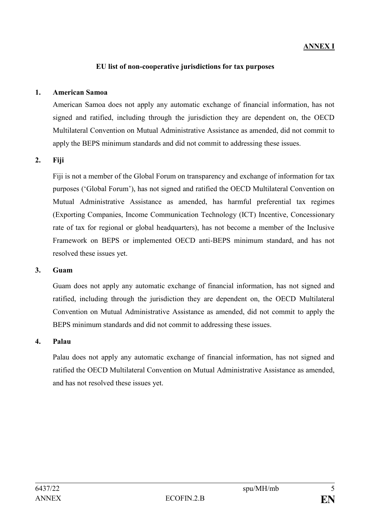# **ANNEX I**

#### **EU list of non-cooperative jurisdictions for tax purposes**

#### **1. American Samoa**

American Samoa does not apply any automatic exchange of financial information, has not signed and ratified, including through the jurisdiction they are dependent on, the OECD Multilateral Convention on Mutual Administrative Assistance as amended, did not commit to apply the BEPS minimum standards and did not commit to addressing these issues.

#### **2. Fiji**

Fiji is not a member of the Global Forum on transparency and exchange of information for tax purposes ('Global Forum'), has not signed and ratified the OECD Multilateral Convention on Mutual Administrative Assistance as amended, has harmful preferential tax regimes (Exporting Companies, Income Communication Technology (ICT) Incentive, Concessionary rate of tax for regional or global headquarters), has not become a member of the Inclusive Framework on BEPS or implemented OECD anti-BEPS minimum standard, and has not resolved these issues yet.

#### **3. Guam**

Guam does not apply any automatic exchange of financial information, has not signed and ratified, including through the jurisdiction they are dependent on, the OECD Multilateral Convention on Mutual Administrative Assistance as amended, did not commit to apply the BEPS minimum standards and did not commit to addressing these issues.

#### **4. Palau**

Palau does not apply any automatic exchange of financial information, has not signed and ratified the OECD Multilateral Convention on Mutual Administrative Assistance as amended, and has not resolved these issues yet.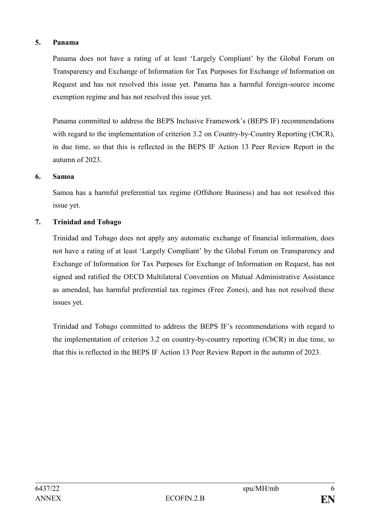## **5. Panama**

Panama does not have a rating of at least 'Largely Compliant' by the Global Forum on Transparency and Exchange of Information for Tax Purposes for Exchange of Information on Request and has not resolved this issue yet. Panama has a harmful foreign-source income exemption regime and has not resolved this issue yet.

Panama committed to address the BEPS Inclusive Framework's (BEPS IF) recommendations with regard to the implementation of criterion 3.2 on Country-by-Country Reporting (CbCR). in due time, so that this is reflected in the BEPS IF Action 13 Peer Review Report in the autumn of 2023.

#### **6. Samoa**

Samoa has a harmful preferential tax regime (Offshore Business) and has not resolved this issue yet.

## **7. Trinidad and Tobago**

Trinidad and Tobago does not apply any automatic exchange of financial information, does not have a rating of at least 'Largely Compliant' by the Global Forum on Transparency and Exchange of Information for Tax Purposes for Exchange of Information on Request, has not signed and ratified the OECD Multilateral Convention on Mutual Administrative Assistance as amended, has harmful preferential tax regimes (Free Zones), and has not resolved these issues yet.

Trinidad and Tobago committed to address the BEPS IF's recommendations with regard to the implementation of criterion 3.2 on country-by-country reporting (CbCR) in due time, so that this is reflected in the BEPS IF Action 13 Peer Review Report in the autumn of 2023.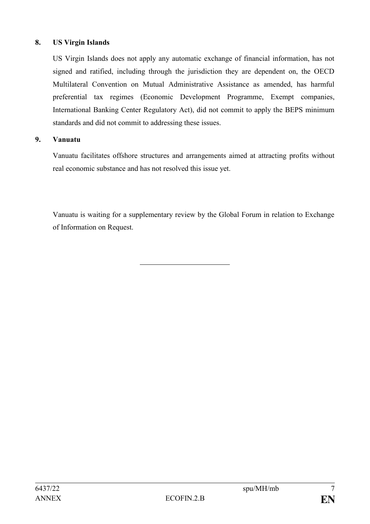## **8. US Virgin Islands**

US Virgin Islands does not apply any automatic exchange of financial information, has not signed and ratified, including through the jurisdiction they are dependent on, the OECD Multilateral Convention on Mutual Administrative Assistance as amended, has harmful preferential tax regimes (Economic Development Programme, Exempt companies, International Banking Center Regulatory Act), did not commit to apply the BEPS minimum standards and did not commit to addressing these issues.

## **9. Vanuatu**

Vanuatu facilitates offshore structures and arrangements aimed at attracting profits without real economic substance and has not resolved this issue yet.

Vanuatu is waiting for a supplementary review by the Global Forum in relation to Exchange of Information on Request.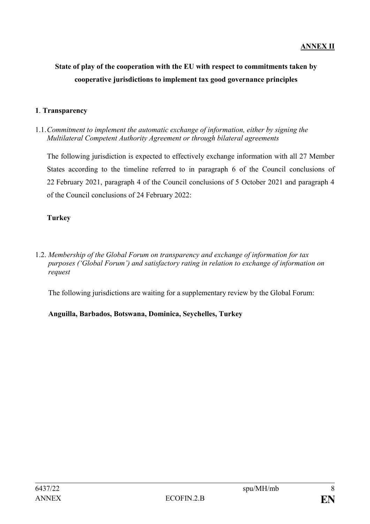# **ANNEX II**

# **State of play of the cooperation with the EU with respect to commitments taken by cooperative jurisdictions to implement tax good governance principles**

#### **1**. **Transparency**

1.1.*Commitment to implement the automatic exchange of information, either by signing the Multilateral Competent Authority Agreement or through bilateral agreements*

The following jurisdiction is expected to effectively exchange information with all 27 Member States according to the timeline referred to in paragraph 6 of the Council conclusions of 22 February 2021, paragraph 4 of the Council conclusions of 5 October 2021 and paragraph 4 of the Council conclusions of 24 February 2022:

## **Turkey**

1.2. *Membership of the Global Forum on transparency and exchange of information for tax purposes ('Global Forum') and satisfactory rating in relation to exchange of information on request*

The following jurisdictions are waiting for a supplementary review by the Global Forum:

## **Anguilla, Barbados, Botswana, Dominica, Seychelles, Turkey**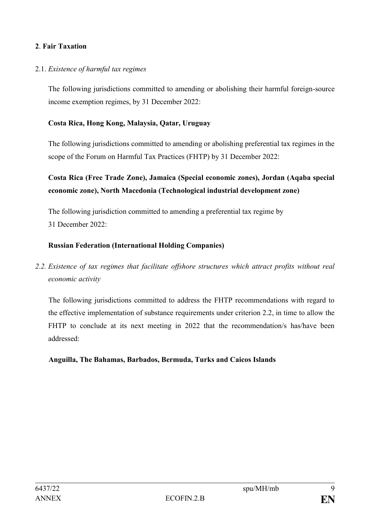## **2**. **Fair Taxation**

## 2.1. *Existence of harmful tax regimes*

The following jurisdictions committed to amending or abolishing their harmful foreign-source income exemption regimes, by 31 December 2022:

## **Costa Rica, Hong Kong, Malaysia, Qatar, Uruguay**

The following jurisdictions committed to amending or abolishing preferential tax regimes in the scope of the Forum on Harmful Tax Practices (FHTP) by 31 December 2022:

# **Costa Rica (Free Trade Zone), Jamaica (Special economic zones), Jordan (Aqaba special economic zone), North Macedonia (Technological industrial development zone)**

The following jurisdiction committed to amending a preferential tax regime by 31 December 2022:

## **Russian Federation (International Holding Companies)**

*2.2. Existence of tax regimes that facilitate offshore structures which attract profits without real economic activity*

The following jurisdictions committed to address the FHTP recommendations with regard to the effective implementation of substance requirements under criterion 2.2, in time to allow the FHTP to conclude at its next meeting in 2022 that the recommendation/s has/have been addressed:

**Anguilla, The Bahamas, Barbados, Bermuda, Turks and Caicos Islands**